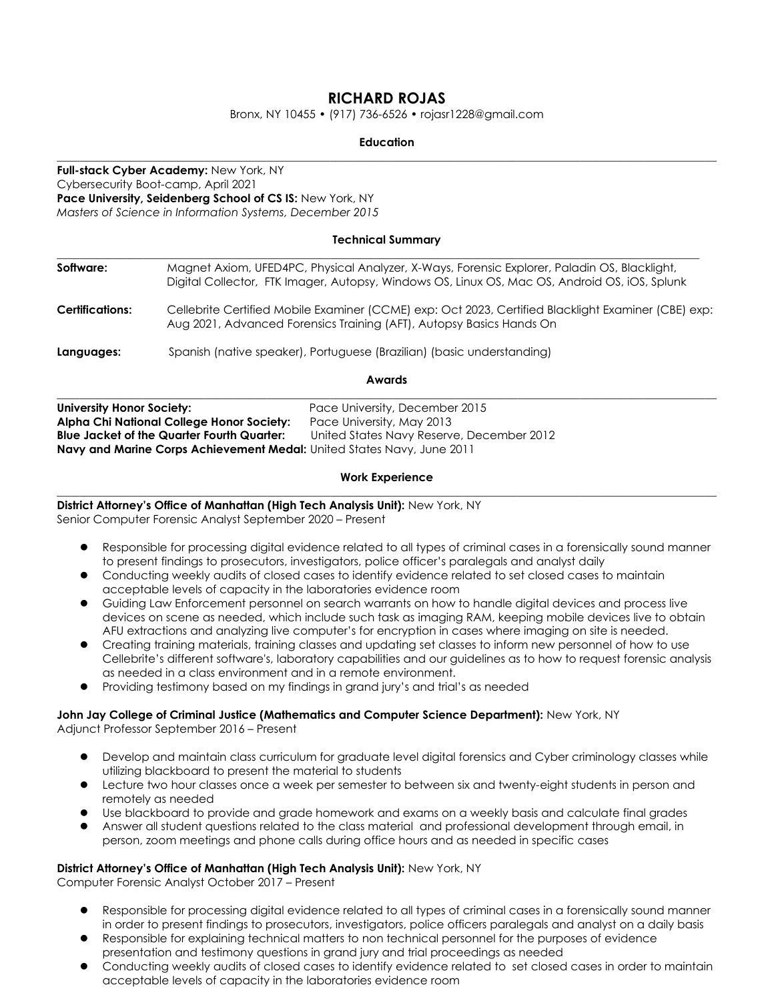# **RICHARD ROJAS**

Bronx, NY 10455 • (917) 736-6526 • rojasr1228@gmail.com

#### **Education \_\_\_\_\_\_\_\_\_\_\_\_\_\_\_\_\_\_\_\_\_\_\_\_\_\_\_\_\_\_\_\_\_\_\_\_\_\_\_\_\_\_\_\_\_\_\_\_\_\_\_\_\_\_\_\_\_\_\_\_\_\_\_\_\_\_\_\_\_\_\_\_\_\_\_\_\_\_\_\_\_\_\_\_\_\_\_\_\_\_\_\_\_\_\_\_\_\_\_\_\_\_\_\_\_\_\_\_\_\_\_\_\_\_\_\_**

**Full-stack Cyber Academy:** New York, NY Cybersecurity Boot-camp, April 2021 **Pace University, Seidenberg School of CS IS:** New York, NY *Masters of Science in Information Systems, December 2015*

## **Technical Summary**

| Software:              | Magnet Axiom, UFED4PC, Physical Analyzer, X-Ways, Forensic Explorer, Paladin OS, Blacklight,<br>Digital Collector, FTK Imager, Autopsy, Windows OS, Linux OS, Mac OS, Android OS, iOS, Splunk |
|------------------------|-----------------------------------------------------------------------------------------------------------------------------------------------------------------------------------------------|
| <b>Certifications:</b> | Cellebrite Certified Mobile Examiner (CCME) exp: Oct 2023, Certified Blacklight Examiner (CBE) exp:<br>Aug 2021, Advanced Forensics Training (AFT), Autopsy Basics Hands On                   |
| Languages:             | Spanish (native speaker), Portuguese (Brazilian) (basic understanding)                                                                                                                        |
|                        |                                                                                                                                                                                               |

**Awards**

| University Honor Society:                                                     | Pace University, December 2015            |  |  |
|-------------------------------------------------------------------------------|-------------------------------------------|--|--|
| Alpha Chi National College Honor Society:                                     | Pace University, May 2013                 |  |  |
| <b>Blue Jacket of the Quarter Fourth Quarter:</b>                             | United States Navy Reserve, December 2012 |  |  |
| <b>Navy and Marine Corps Achievement Medal:</b> United States Navy, June 2011 |                                           |  |  |

### **Work Experience**

**\_\_\_\_\_\_\_\_\_\_\_\_\_\_\_\_\_\_\_\_\_\_\_\_\_\_\_\_\_\_\_\_\_\_\_\_\_\_\_\_\_\_\_\_\_\_\_\_\_\_\_\_\_\_\_\_\_\_\_\_\_\_\_\_\_\_\_\_\_\_\_\_\_\_\_\_\_\_\_\_\_\_\_\_\_\_\_\_\_\_\_\_\_\_\_\_\_\_\_\_\_\_\_\_\_\_\_\_\_\_\_\_\_\_\_\_ District Attorney's Office of Manhattan (High Tech Analysis Unit):** New York, NY

Senior Computer Forensic Analyst September 2020 – Present

- Responsible for processing digital evidence related to all types of criminal cases in a forensically sound manner to present findings to prosecutors, investigators, police officer's paralegals and analyst daily
- Conducting weekly audits of closed cases to identify evidence related to set closed cases to maintain acceptable levels of capacity in the laboratories evidence room
- Guiding Law Enforcement personnel on search warrants on how to handle digital devices and process live devices on scene as needed, which include such task as imaging RAM, keeping mobile devices live to obtain AFU extractions and analyzing live computer's for encryption in cases where imaging on site is needed.
- Creating training materials, training classes and updating set classes to inform new personnel of how to use Cellebrite's different software's, laboratory capabilities and our guidelines as to how to request forensic analysis as needed in a class environment and in a remote environment.
- Providing testimony based on my findings in grand jury's and trial's as needed

## **John Jay College of Criminal Justice (Mathematics and Computer Science Department):** New York, NY

Adjunct Professor September 2016 – Present

- Develop and maintain class curriculum for graduate level digital forensics and Cyber criminology classes while utilizing blackboard to present the material to students
- Lecture two hour classes once a week per semester to between six and twenty-eight students in person and remotely as needed
- Use blackboard to provide and grade homework and exams on a weekly basis and calculate final grades
- Answer all student questions related to the class material and professional development through email, in person, zoom meetings and phone calls during office hours and as needed in specific cases

## **District Attorney's Office of Manhattan (High Tech Analysis Unit):** New York, NY

Computer Forensic Analyst October 2017 – Present

- Responsible for processing digital evidence related to all types of criminal cases in a forensically sound manner in order to present findings to prosecutors, investigators, police officers paralegals and analyst on a daily basis
- Responsible for explaining technical matters to non technical personnel for the purposes of evidence presentation and testimony questions in grand jury and trial proceedings as needed
- Conducting weekly audits of closed cases to identify evidence related to set closed cases in order to maintain acceptable levels of capacity in the laboratories evidence room